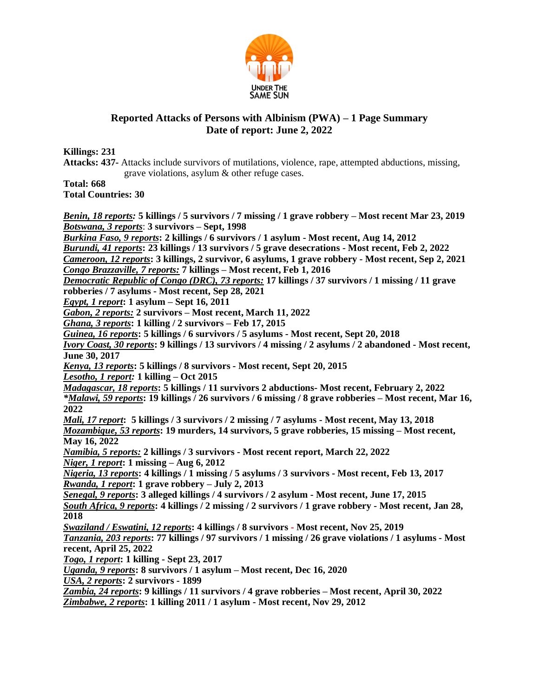

## **Reported Attacks of Persons with Albinism (PWA) – 1 Page Summary Date of report: June 2, 2022**

**Killings: 231**

**Attacks: 437-** Attacks include survivors of mutilations, violence, rape, attempted abductions, missing, grave violations, asylum & other refuge cases.

**Total: 668 Total Countries: 30**

*Benin, 18 reports:* **5 killings / 5 survivors / 7 missing / 1 grave robbery – Most recent Mar 23, 2019** *Botswana, 3 reports*: **3 survivors – Sept, 1998** *Burkina Faso, 9 reports***: 2 killings / 6 survivors / 1 asylum - Most recent, Aug 14, 2012**  *Burundi, 41 reports***: 23 killings / 13 survivors / 5 grave desecrations - Most recent, Feb 2, 2022** *Cameroon, 12 reports***: 3 killings, 2 survivor, 6 asylums, 1 grave robbery - Most recent, Sep 2, 2021** *Congo Brazzaville, 7 reports:* **7 killings – Most recent, Feb 1, 2016** *Democratic Republic of Congo (DRC), 73 reports:* **17 killings / 37 survivors / 1 missing / 11 grave robberies / 7 asylums - Most recent, Sep 28, 2021** *Egypt, 1 report***: 1 asylum – Sept 16, 2011** *Gabon, 2 reports:* **2 survivors – Most recent, March 11, 2022**  *Ghana, 3 reports***: 1 killing / 2 survivors – Feb 17, 2015** *Guinea, 16 reports***: 5 killings / 6 survivors / 5 asylums - Most recent, Sept 20, 2018** *Ivory Coast, 30 reports***: 9 killings / 13 survivors / 4 missing / 2 asylums / 2 abandoned - Most recent, June 30, 2017** *Kenya, 13 reports***: 5 killings / 8 survivors - Most recent, Sept 20, 2015** *Lesotho, 1 report:* **1 killing – Oct 2015** *Madagascar, 18 reports***: 5 killings / 11 survivors 2 abductions- Most recent, February 2, 2022** *\*Malawi, 59 reports***: 19 killings / 26 survivors / 6 missing / 8 grave robberies – Most recent, Mar 16, 2022** *Mali, 17 report***: 5 killings / 3 survivors / 2 missing / 7 asylums - Most recent, May 13, 2018** *Mozambique, 53 reports***: 19 murders, 14 survivors, 5 grave robberies, 15 missing – Most recent, May 16, 2022** *Namibia, 5 reports:* **2 killings / 3 survivors - Most recent report, March 22, 2022** *Niger, 1 report***: 1 missing – Aug 6, 2012** *Nigeria, 13 reports***: 4 killings / 1 missing / 5 asylums / 3 survivors - Most recent, Feb 13, 2017** *Rwanda, 1 report***: 1 grave robbery – July 2, 2013** *Senegal, 9 reports***: 3 alleged killings / 4 survivors / 2 asylum - Most recent, June 17, 2015** *South Africa, 9 reports***: 4 killings / 2 missing / 2 survivors / 1 grave robbery - Most recent, Jan 28, 2018** *Swaziland / Eswatini, 12 reports***: 4 killings / 8 survivors - Most recent, Nov 25, 2019** *Tanzania, 203 reports***: 77 killings / 97 survivors / 1 missing / 26 grave violations / 1 asylums - Most recent, April 25, 2022** *Togo, 1 report***: 1 killing - Sept 23, 2017** *Uganda, 9 reports***: 8 survivors / 1 asylum – Most recent, Dec 16, 2020** *USA, 2 reports***: 2 survivors - 1899**  *Zambia, 24 reports***: 9 killings / 11 survivors / 4 grave robberies – Most recent, April 30, 2022** *Zimbabwe, 2 reports***: 1 killing 2011 / 1 asylum - Most recent, Nov 29, 2012**